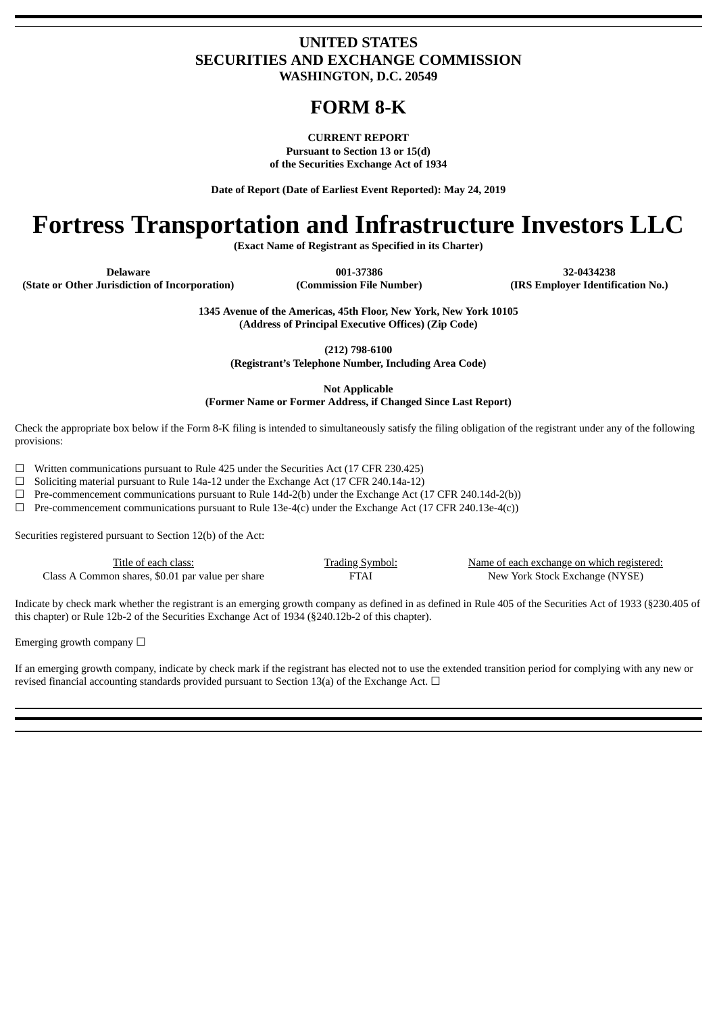### **UNITED STATES SECURITIES AND EXCHANGE COMMISSION WASHINGTON, D.C. 20549**

## **FORM 8-K**

**CURRENT REPORT Pursuant to Section 13 or 15(d) of the Securities Exchange Act of 1934**

**Date of Report (Date of Earliest Event Reported): May 24, 2019**

# **Fortress Transportation and Infrastructure Investors LLC**

**(Exact Name of Registrant as Specified in its Charter)**

**Delaware 001-37386 32-0434238 (State or Other Jurisdiction of Incorporation) (Commission File Number) (IRS Employer Identification No.)**

**1345 Avenue of the Americas, 45th Floor, New York, New York 10105 (Address of Principal Executive Offices) (Zip Code)**

**(212) 798-6100**

**(Registrant's Telephone Number, Including Area Code)**

**Not Applicable**

**(Former Name or Former Address, if Changed Since Last Report)**

Check the appropriate box below if the Form 8-K filing is intended to simultaneously satisfy the filing obligation of the registrant under any of the following provisions:

 $\Box$  Written communications pursuant to Rule 425 under the Securities Act (17 CFR 230.425)

 $\Box$  Soliciting material pursuant to Rule 14a-12 under the Exchange Act (17 CFR 240.14a-12)

 $\Box$  Pre-commencement communications pursuant to Rule 14d-2(b) under the Exchange Act (17 CFR 240.14d-2(b))

 $\Box$  Pre-commencement communications pursuant to Rule 13e-4(c) under the Exchange Act (17 CFR 240.13e-4(c))

Securities registered pursuant to Section 12(b) of the Act:

Class A Common shares, \$0.01 par value per share FTAI FTAI New York Stock Exchange (NYSE)

Title of each class: Trading Symbol: Name of each exchange on which registered:

Indicate by check mark whether the registrant is an emerging growth company as defined in as defined in Rule 405 of the Securities Act of 1933 (§230.405 of this chapter) or Rule 12b-2 of the Securities Exchange Act of 1934 (§240.12b-2 of this chapter).

Emerging growth company  $\Box$ 

If an emerging growth company, indicate by check mark if the registrant has elected not to use the extended transition period for complying with any new or revised financial accounting standards provided pursuant to Section 13(a) of the Exchange Act.  $\Box$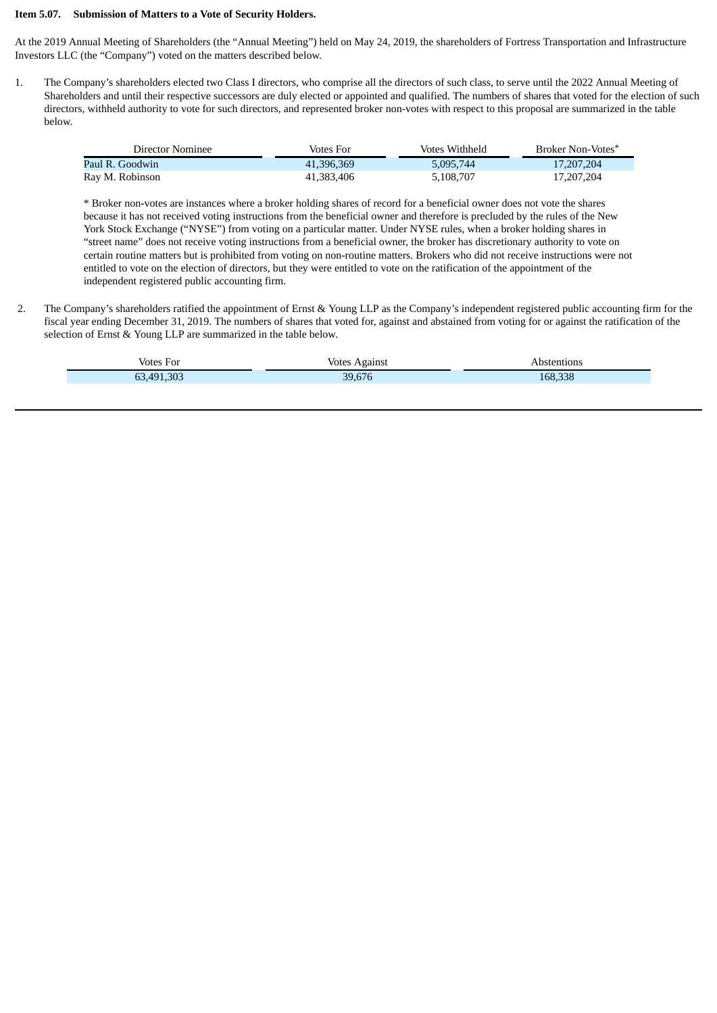#### **Item 5.07. Submission of Matters to a Vote of Security Holders.**

At the 2019 Annual Meeting of Shareholders (the "Annual Meeting") held on May 24, 2019, the shareholders of Fortress Transportation and Infrastructure Investors LLC (the "Company") voted on the matters described below.

1. The Company's shareholders elected two Class I directors, who comprise all the directors of such class, to serve until the 2022 Annual Meeting of Shareholders and until their respective successors are duly elected or appointed and qualified. The numbers of shares that voted for the election of such directors, withheld authority to vote for such directors, and represented broker non-votes with respect to this proposal are summarized in the table below.

| Director Nominee | Votes For  | Votes Withheld | Broker Non-Votes* |
|------------------|------------|----------------|-------------------|
| Paul R. Goodwin  | 41,396,369 | 5.095.744      | 17,207,204        |
| Ray M. Robinson  | 41,383,406 | 5,108,707      | 17,207,204        |

\* Broker non-votes are instances where a broker holding shares of record for a beneficial owner does not vote the shares because it has not received voting instructions from the beneficial owner and therefore is precluded by the rules of the New York Stock Exchange ("NYSE") from voting on a particular matter. Under NYSE rules, when a broker holding shares in "street name" does not receive voting instructions from a beneficial owner, the broker has discretionary authority to vote on certain routine matters but is prohibited from voting on non-routine matters. Brokers who did not receive instructions were not entitled to vote on the election of directors, but they were entitled to vote on the ratification of the appointment of the independent registered public accounting firm.

2. The Company's shareholders ratified the appointment of Ernst & Young LLP as the Company's independent registered public accounting firm for the fiscal year ending December 31, 2019. The numbers of shares that voted for, against and abstained from voting for or against the ratification of the selection of Ernst & Young LLP are summarized in the table below.

| /ntes<br>∹∩r<br>$\sim$    | ∵∨ntr    | ons<br>$\sim$<br>- - |
|---------------------------|----------|----------------------|
| 303<br>ch<br>$\Lambda$ Q1 | $\Omega$ | 0 כי כי<br>168.338   |